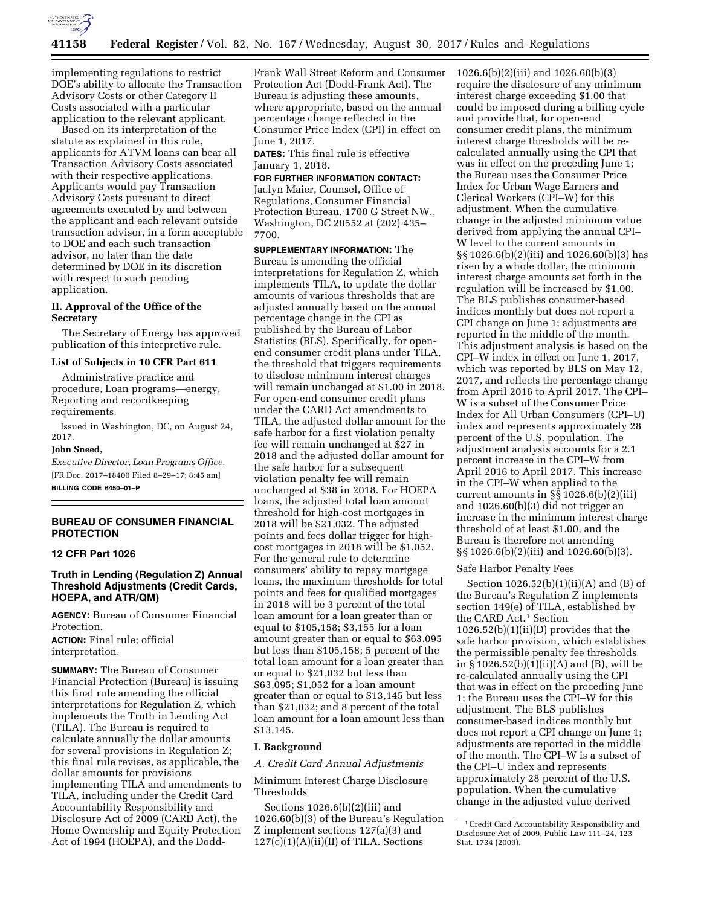

implementing regulations to restrict DOE's ability to allocate the Transaction Advisory Costs or other Category II Costs associated with a particular application to the relevant applicant.

Based on its interpretation of the statute as explained in this rule, applicants for ATVM loans can bear all Transaction Advisory Costs associated with their respective applications. Applicants would pay Transaction Advisory Costs pursuant to direct agreements executed by and between the applicant and each relevant outside transaction advisor, in a form acceptable to DOE and each such transaction advisor, no later than the date determined by DOE in its discretion with respect to such pending application.

## **II. Approval of the Office of the Secretary**

The Secretary of Energy has approved publication of this interpretive rule.

## **List of Subjects in 10 CFR Part 611**

Administrative practice and procedure, Loan programs—energy, Reporting and recordkeeping requirements.

Issued in Washington, DC, on August 24, 2017.

#### **John Sneed,**

*Executive Director, Loan Programs Office.*  [FR Doc. 2017–18400 Filed 8–29–17; 8:45 am] **BILLING CODE 6450–01–P** 

# **BUREAU OF CONSUMER FINANCIAL**

## **12 CFR Part 1026**

**PROTECTION** 

## **Truth in Lending (Regulation Z) Annual Threshold Adjustments (Credit Cards, HOEPA, and ATR/QM)**

**AGENCY:** Bureau of Consumer Financial Protection.

**ACTION:** Final rule; official interpretation.

**SUMMARY:** The Bureau of Consumer Financial Protection (Bureau) is issuing this final rule amending the official interpretations for Regulation Z, which implements the Truth in Lending Act (TILA). The Bureau is required to calculate annually the dollar amounts for several provisions in Regulation Z; this final rule revises, as applicable, the dollar amounts for provisions implementing TILA and amendments to TILA, including under the Credit Card Accountability Responsibility and Disclosure Act of 2009 (CARD Act), the Home Ownership and Equity Protection Act of 1994 (HOEPA), and the DoddFrank Wall Street Reform and Consumer Protection Act (Dodd-Frank Act). The Bureau is adjusting these amounts, where appropriate, based on the annual percentage change reflected in the Consumer Price Index (CPI) in effect on June 1, 2017.

**DATES:** This final rule is effective January 1, 2018.

**FOR FURTHER INFORMATION CONTACT:**  Jaclyn Maier, Counsel, Office of Regulations, Consumer Financial Protection Bureau, 1700 G Street NW., Washington, DC 20552 at (202) 435– 7700.

**SUPPLEMENTARY INFORMATION:** The Bureau is amending the official interpretations for Regulation Z, which implements TILA, to update the dollar amounts of various thresholds that are adjusted annually based on the annual percentage change in the CPI as published by the Bureau of Labor Statistics (BLS). Specifically, for openend consumer credit plans under TILA, the threshold that triggers requirements to disclose minimum interest charges will remain unchanged at \$1.00 in 2018. For open-end consumer credit plans under the CARD Act amendments to TILA, the adjusted dollar amount for the safe harbor for a first violation penalty fee will remain unchanged at \$27 in 2018 and the adjusted dollar amount for the safe harbor for a subsequent violation penalty fee will remain unchanged at \$38 in 2018. For HOEPA loans, the adjusted total loan amount threshold for high-cost mortgages in 2018 will be \$21,032. The adjusted points and fees dollar trigger for highcost mortgages in 2018 will be \$1,052. For the general rule to determine consumers' ability to repay mortgage loans, the maximum thresholds for total points and fees for qualified mortgages in 2018 will be 3 percent of the total loan amount for a loan greater than or equal to \$105,158; \$3,155 for a loan amount greater than or equal to \$63,095 but less than \$105,158; 5 percent of the total loan amount for a loan greater than or equal to \$21,032 but less than \$63,095; \$1,052 for a loan amount greater than or equal to \$13,145 but less than \$21,032; and 8 percent of the total loan amount for a loan amount less than \$13,145.

## **I. Background**

*A. Credit Card Annual Adjustments* 

Minimum Interest Charge Disclosure Thresholds

Sections 1026.6(b)(2)(iii) and 1026.60(b)(3) of the Bureau's Regulation Z implement sections 127(a)(3) and  $127(c)(1)(A)(ii)(II)$  of TILA. Sections

1026.6(b)(2)(iii) and 1026.60(b)(3) require the disclosure of any minimum interest charge exceeding \$1.00 that could be imposed during a billing cycle and provide that, for open-end consumer credit plans, the minimum interest charge thresholds will be recalculated annually using the CPI that was in effect on the preceding June 1; the Bureau uses the Consumer Price Index for Urban Wage Earners and Clerical Workers (CPI–W) for this adjustment. When the cumulative change in the adjusted minimum value derived from applying the annual CPI– W level to the current amounts in §§ 1026.6(b)(2)(iii) and 1026.60(b)(3) has risen by a whole dollar, the minimum interest charge amounts set forth in the regulation will be increased by \$1.00. The BLS publishes consumer-based indices monthly but does not report a CPI change on June 1; adjustments are reported in the middle of the month. This adjustment analysis is based on the CPI–W index in effect on June 1, 2017, which was reported by BLS on May 12, 2017, and reflects the percentage change from April 2016 to April 2017. The CPI– W is a subset of the Consumer Price Index for All Urban Consumers (CPI–U) index and represents approximately 28 percent of the U.S. population. The adjustment analysis accounts for a 2.1 percent increase in the CPI–W from April 2016 to April 2017. This increase in the CPI–W when applied to the current amounts in §§ 1026.6(b)(2)(iii) and 1026.60(b)(3) did not trigger an increase in the minimum interest charge threshold of at least \$1.00, and the Bureau is therefore not amending §§ 1026.6(b)(2)(iii) and 1026.60(b)(3).

#### Safe Harbor Penalty Fees

Section 1026.52(b)(1)(ii)(A) and (B) of the Bureau's Regulation Z implements section 149(e) of TILA, established by the CARD Act.1 Section 1026.52(b)(1)(ii)(D) provides that the safe harbor provision, which establishes the permissible penalty fee thresholds in § 1026.52(b)(1)(ii)(A) and (B), will be re-calculated annually using the CPI that was in effect on the preceding June 1; the Bureau uses the CPI–W for this adjustment. The BLS publishes consumer-based indices monthly but does not report a CPI change on June 1; adjustments are reported in the middle of the month. The CPI–W is a subset of the CPI–U index and represents approximately 28 percent of the U.S. population. When the cumulative change in the adjusted value derived

<sup>1</sup>Credit Card Accountability Responsibility and Disclosure Act of 2009, Public Law 111–24, 123 Stat. 1734 (2009).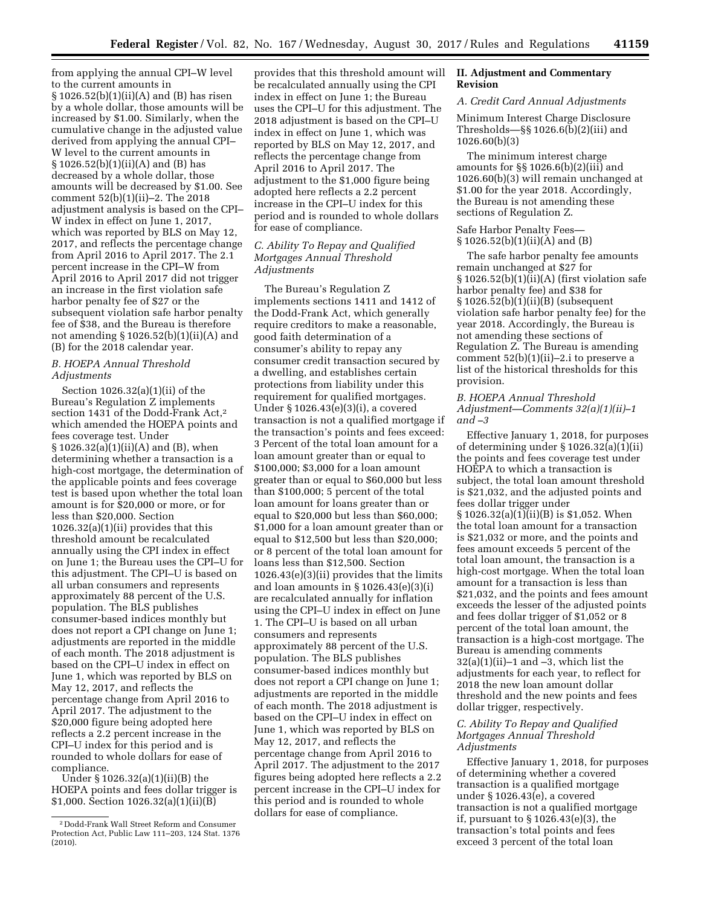from applying the annual CPI–W level to the current amounts in § 1026.52(b)(1)(ii)(A) and (B) has risen by a whole dollar, those amounts will be increased by \$1.00. Similarly, when the cumulative change in the adjusted value derived from applying the annual CPI– W level to the current amounts in § 1026.52(b)(1)(ii)(A) and (B) has decreased by a whole dollar, those amounts will be decreased by \$1.00. See comment 52(b)(1)(ii)–2. The 2018 adjustment analysis is based on the CPI– W index in effect on June 1, 2017, which was reported by BLS on May 12, 2017, and reflects the percentage change from April 2016 to April 2017. The 2.1 percent increase in the CPI–W from April 2016 to April 2017 did not trigger an increase in the first violation safe harbor penalty fee of \$27 or the subsequent violation safe harbor penalty fee of \$38, and the Bureau is therefore not amending § 1026.52(b)(1)(ii)(A) and (B) for the 2018 calendar year.

## *B. HOEPA Annual Threshold Adjustments*

Section 1026.32(a)(1)(ii) of the Bureau's Regulation Z implements section 1431 of the Dodd-Frank Act,2 which amended the HOEPA points and fees coverage test. Under § 1026.32(a)(1)(ii)(A) and (B), when determining whether a transaction is a high-cost mortgage, the determination of the applicable points and fees coverage test is based upon whether the total loan amount is for \$20,000 or more, or for less than \$20,000. Section 1026.32(a)(1)(ii) provides that this threshold amount be recalculated annually using the CPI index in effect on June 1; the Bureau uses the CPI–U for this adjustment. The CPI–U is based on all urban consumers and represents approximately 88 percent of the U.S. population. The BLS publishes consumer-based indices monthly but does not report a CPI change on June 1; adjustments are reported in the middle of each month. The 2018 adjustment is based on the CPI–U index in effect on June 1, which was reported by BLS on May 12, 2017, and reflects the percentage change from April 2016 to April 2017. The adjustment to the \$20,000 figure being adopted here reflects a 2.2 percent increase in the CPI–U index for this period and is rounded to whole dollars for ease of compliance.

Under § 1026.32(a)(1)(ii)(B) the HOEPA points and fees dollar trigger is \$1,000. Section 1026.32(a)(1)(ii)(B)

provides that this threshold amount will be recalculated annually using the CPI index in effect on June 1; the Bureau uses the CPI–U for this adjustment. The 2018 adjustment is based on the CPI–U index in effect on June 1, which was reported by BLS on May 12, 2017, and reflects the percentage change from April 2016 to April 2017. The adjustment to the \$1,000 figure being adopted here reflects a 2.2 percent increase in the CPI–U index for this period and is rounded to whole dollars for ease of compliance.

# *C. Ability To Repay and Qualified Mortgages Annual Threshold Adjustments*

The Bureau's Regulation Z implements sections 1411 and 1412 of the Dodd-Frank Act, which generally require creditors to make a reasonable, good faith determination of a consumer's ability to repay any consumer credit transaction secured by a dwelling, and establishes certain protections from liability under this requirement for qualified mortgages. Under § 1026.43(e)(3)(i), a covered transaction is not a qualified mortgage if the transaction's points and fees exceed: 3 Percent of the total loan amount for a loan amount greater than or equal to \$100,000; \$3,000 for a loan amount greater than or equal to \$60,000 but less than \$100,000; 5 percent of the total loan amount for loans greater than or equal to \$20,000 but less than \$60,000; \$1,000 for a loan amount greater than or equal to \$12,500 but less than \$20,000; or 8 percent of the total loan amount for loans less than \$12,500. Section 1026.43(e)(3)(ii) provides that the limits and loan amounts in § 1026.43(e)(3)(i) are recalculated annually for inflation using the CPI–U index in effect on June 1. The CPI–U is based on all urban consumers and represents approximately 88 percent of the U.S. population. The BLS publishes consumer-based indices monthly but does not report a CPI change on June 1; adjustments are reported in the middle of each month. The 2018 adjustment is based on the CPI–U index in effect on June 1, which was reported by BLS on May 12, 2017, and reflects the percentage change from April 2016 to April 2017. The adjustment to the 2017 figures being adopted here reflects a 2.2 percent increase in the CPI–U index for this period and is rounded to whole dollars for ease of compliance.

# **II. Adjustment and Commentary Revision**

#### *A. Credit Card Annual Adjustments*

Minimum Interest Charge Disclosure Thresholds—§§ 1026.6(b)(2)(iii) and 1026.60(b)(3)

The minimum interest charge amounts for §§ 1026.6(b)(2)(iii) and 1026.60(b)(3) will remain unchanged at \$1.00 for the year 2018. Accordingly, the Bureau is not amending these sections of Regulation Z.

#### Safe Harbor Penalty Fees— § 1026.52(b)(1)(ii)(A) and (B)

The safe harbor penalty fee amounts remain unchanged at \$27 for § 1026.52(b)(1)(ii)(A) (first violation safe harbor penalty fee) and \$38 for § 1026.52(b)(1)(ii)(B) (subsequent violation safe harbor penalty fee) for the year 2018. Accordingly, the Bureau is not amending these sections of Regulation Z. The Bureau is amending comment 52(b)(1)(ii)–2.i to preserve a list of the historical thresholds for this provision.

## *B. HOEPA Annual Threshold Adjustment—Comments 32(a)(1)(ii)–1 and –3*

Effective January 1, 2018, for purposes of determining under § 1026.32(a)(1)(ii) the points and fees coverage test under HOEPA to which a transaction is subject, the total loan amount threshold is \$21,032, and the adjusted points and fees dollar trigger under § 1026.32(a)(1)(ii)(B) is \$1,052. When the total loan amount for a transaction is \$21,032 or more, and the points and fees amount exceeds 5 percent of the total loan amount, the transaction is a high-cost mortgage. When the total loan amount for a transaction is less than \$21,032, and the points and fees amount exceeds the lesser of the adjusted points and fees dollar trigger of \$1,052 or 8 percent of the total loan amount, the transaction is a high-cost mortgage. The Bureau is amending comments  $32(a)(1)(ii)-1$  and  $-3$ , which list the adjustments for each year, to reflect for 2018 the new loan amount dollar threshold and the new points and fees dollar trigger, respectively.

## *C. Ability To Repay and Qualified Mortgages Annual Threshold Adjustments*

Effective January 1, 2018, for purposes of determining whether a covered transaction is a qualified mortgage under § 1026.43(e), a covered transaction is not a qualified mortgage if, pursuant to § 1026.43(e)(3), the transaction's total points and fees exceed 3 percent of the total loan

<sup>2</sup> Dodd-Frank Wall Street Reform and Consumer Protection Act, Public Law 111–203, 124 Stat. 1376 (2010).